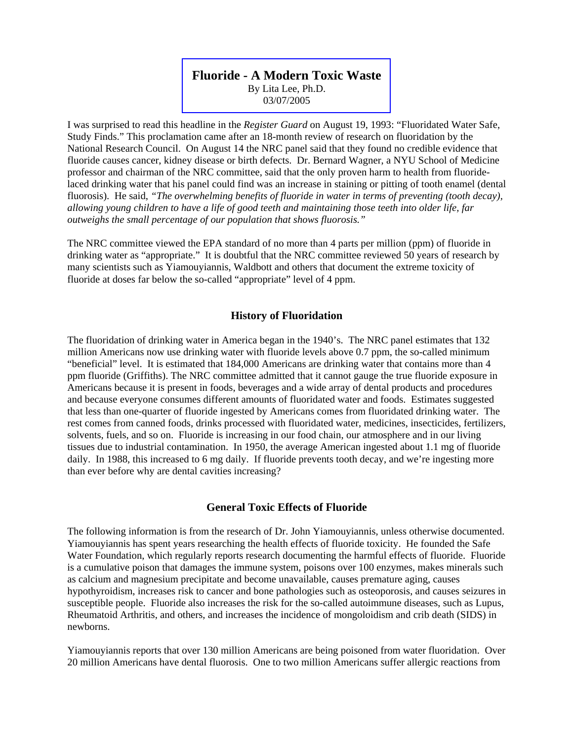### **[Fluoride - A Modern Toxic Waste](https://www.litalee.com/documents/Fluoride%20-%20A%20Modern%20Toxic%20Waste.pdf)**  By Lita Lee, Ph.D.

03/07/2005

I was surprised to read this headline in the *Register Guard* on August 19, 1993: "Fluoridated Water Safe, Study Finds." This proclamation came after an 18-month review of research on fluoridation by the National Research Council. On August 14 the NRC panel said that they found no credible evidence that fluoride causes cancer, kidney disease or birth defects. Dr. Bernard Wagner, a NYU School of Medicine professor and chairman of the NRC committee, said that the only proven harm to health from fluoridelaced drinking water that his panel could find was an increase in staining or pitting of tooth enamel (dental fluorosis). He said, *"The overwhelming benefits of fluoride in water in terms of preventing (tooth decay), allowing young children to have a life of good teeth and maintaining those teeth into older life, far outweighs the small percentage of our population that shows fluorosis."* 

The NRC committee viewed the EPA standard of no more than 4 parts per million (ppm) of fluoride in drinking water as "appropriate." It is doubtful that the NRC committee reviewed 50 years of research by many scientists such as Yiamouyiannis, Waldbott and others that document the extreme toxicity of fluoride at doses far below the so-called "appropriate" level of 4 ppm.

## **History of Fluoridation**

The fluoridation of drinking water in America began in the 1940's. The NRC panel estimates that 132 million Americans now use drinking water with fluoride levels above 0.7 ppm, the so-called minimum "beneficial" level. It is estimated that 184,000 Americans are drinking water that contains more than 4 ppm fluoride (Griffiths). The NRC committee admitted that it cannot gauge the true fluoride exposure in Americans because it is present in foods, beverages and a wide array of dental products and procedures and because everyone consumes different amounts of fluoridated water and foods. Estimates suggested that less than one-quarter of fluoride ingested by Americans comes from fluoridated drinking water. The rest comes from canned foods, drinks processed with fluoridated water, medicines, insecticides, fertilizers, solvents, fuels, and so on. Fluoride is increasing in our food chain, our atmosphere and in our living tissues due to industrial contamination. In 1950, the average American ingested about 1.1 mg of fluoride daily. In 1988, this increased to 6 mg daily. If fluoride prevents tooth decay, and we're ingesting more than ever before why are dental cavities increasing?

# **General Toxic Effects of Fluoride**

The following information is from the research of Dr. John Yiamouyiannis, unless otherwise documented. Yiamouyiannis has spent years researching the health effects of fluoride toxicity. He founded the Safe Water Foundation, which regularly reports research documenting the harmful effects of fluoride. Fluoride is a cumulative poison that damages the immune system, poisons over 100 enzymes, makes minerals such as calcium and magnesium precipitate and become unavailable, causes premature aging, causes hypothyroidism, increases risk to cancer and bone pathologies such as osteoporosis, and causes seizures in susceptible people. Fluoride also increases the risk for the so-called autoimmune diseases, such as Lupus, Rheumatoid Arthritis, and others, and increases the incidence of mongoloidism and crib death (SIDS) in newborns.

Yiamouyiannis reports that over 130 million Americans are being poisoned from water fluoridation. Over 20 million Americans have dental fluorosis. One to two million Americans suffer allergic reactions from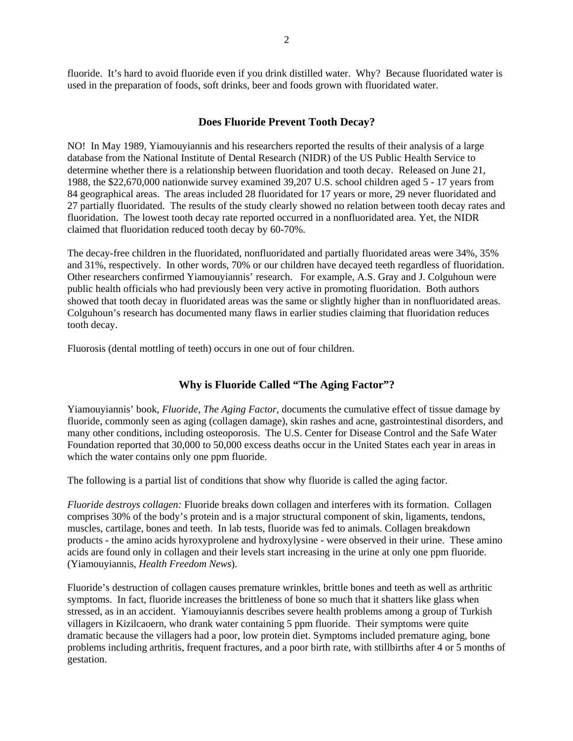fluoride. It's hard to avoid fluoride even if you drink distilled water. Why? Because fluoridated water is used in the preparation of foods, soft drinks, beer and foods grown with fluoridated water.

#### **Does Fluoride Prevent Tooth Decay?**

NO! In May 1989, Yiamouyiannis and his researchers reported the results of their analysis of a large database from the National Institute of Dental Research (NIDR) of the US Public Health Service to determine whether there is a relationship between fluoridation and tooth decay. Released on June 21, 1988, the \$22,670,000 nationwide survey examined 39,207 U.S. school children aged 5 - 17 years from 84 geographical areas. The areas included 28 fluoridated for 17 years or more, 29 never fluoridated and 27 partially fluoridated. The results of the study clearly showed no relation between tooth decay rates and fluoridation. The lowest tooth decay rate reported occurred in a nonfluoridated area. Yet, the NIDR claimed that fluoridation reduced tooth decay by 60-70%.

The decay-free children in the fluoridated, nonfluoridated and partially fluoridated areas were 34%, 35% and 31%, respectively. In other words, 70% or our children have decayed teeth regardless of fluoridation. Other researchers confirmed Yiamouyiannis' research. For example, A.S. Gray and J. Colguhoun were public health officials who had previously been very active in promoting fluoridation. Both authors showed that tooth decay in fluoridated areas was the same or slightly higher than in nonfluoridated areas. Colguhoun's research has documented many flaws in earlier studies claiming that fluoridation reduces tooth decay.

Fluorosis (dental mottling of teeth) occurs in one out of four children.

#### **Why is Fluoride Called "The Aging Factor"?**

Yiamouyiannis' book, *Fluoride, The Aging Factor,* documents the cumulative effect of tissue damage by fluoride, commonly seen as aging (collagen damage), skin rashes and acne, gastrointestinal disorders, and many other conditions, including osteoporosis. The U.S. Center for Disease Control and the Safe Water Foundation reported that 30,000 to 50,000 excess deaths occur in the United States each year in areas in which the water contains only one ppm fluoride.

The following is a partial list of conditions that show why fluoride is called the aging factor.

*Fluoride destroys collagen:* Fluoride breaks down collagen and interferes with its formation. Collagen comprises 30% of the body's protein and is a major structural component of skin, ligaments, tendons, muscles, cartilage, bones and teeth. In lab tests, fluoride was fed to animals. Collagen breakdown products - the amino acids hyroxyprolene and hydroxylysine - were observed in their urine. These amino acids are found only in collagen and their levels start increasing in the urine at only one ppm fluoride. (Yiamouyiannis, *Health Freedom News*).

Fluoride's destruction of collagen causes premature wrinkles, brittle bones and teeth as well as arthritic symptoms. In fact, fluoride increases the brittleness of bone so much that it shatters like glass when stressed, as in an accident. Yiamouyiannis describes severe health problems among a group of Turkish villagers in Kizilcaoern, who drank water containing 5 ppm fluoride. Their symptoms were quite dramatic because the villagers had a poor, low protein diet. Symptoms included premature aging, bone problems including arthritis, frequent fractures, and a poor birth rate, with stillbirths after 4 or 5 months of gestation.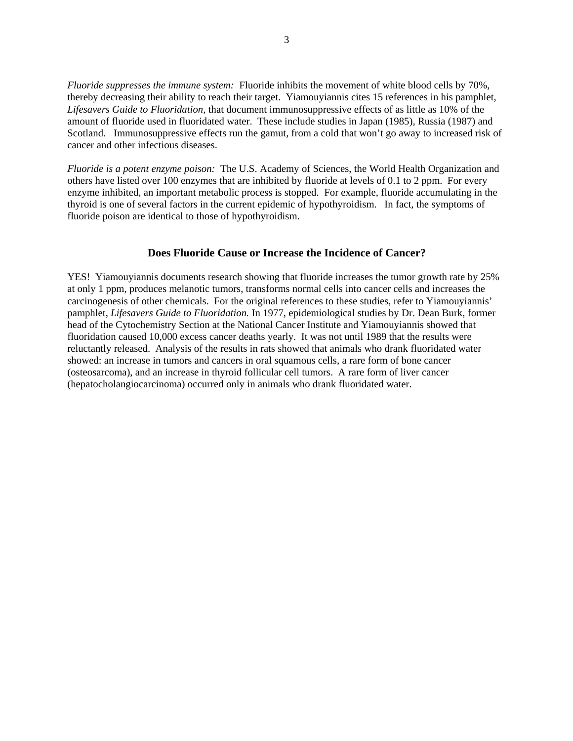*Fluoride suppresses the immune system:* Fluoride inhibits the movement of white blood cells by 70%, thereby decreasing their ability to reach their target. Yiamouyiannis cites 15 references in his pamphlet, *Lifesavers Guide to Fluoridation,* that document immunosuppressive effects of as little as 10% of the amount of fluoride used in fluoridated water. These include studies in Japan (1985), Russia (1987) and Scotland. Immunosuppressive effects run the gamut, from a cold that won't go away to increased risk of cancer and other infectious diseases.

*Fluoride is a potent enzyme poison:* The U.S. Academy of Sciences, the World Health Organization and others have listed over 100 enzymes that are inhibited by fluoride at levels of 0.1 to 2 ppm. For every enzyme inhibited, an important metabolic process is stopped. For example, fluoride accumulating in the thyroid is one of several factors in the current epidemic of hypothyroidism. In fact, the symptoms of fluoride poison are identical to those of hypothyroidism.

### **Does Fluoride Cause or Increase the Incidence of Cancer?**

YES! Yiamouyiannis documents research showing that fluoride increases the tumor growth rate by 25% at only 1 ppm, produces melanotic tumors, transforms normal cells into cancer cells and increases the carcinogenesis of other chemicals. For the original references to these studies, refer to Yiamouyiannis' pamphlet, *Lifesavers Guide to Fluoridation.* In 1977, epidemiological studies by Dr. Dean Burk, former head of the Cytochemistry Section at the National Cancer Institute and Yiamouyiannis showed that fluoridation caused 10,000 excess cancer deaths yearly. It was not until 1989 that the results were reluctantly released. Analysis of the results in rats showed that animals who drank fluoridated water showed: an increase in tumors and cancers in oral squamous cells, a rare form of bone cancer (osteosarcoma), and an increase in thyroid follicular cell tumors. A rare form of liver cancer (hepatocholangiocarcinoma) occurred only in animals who drank fluoridated water.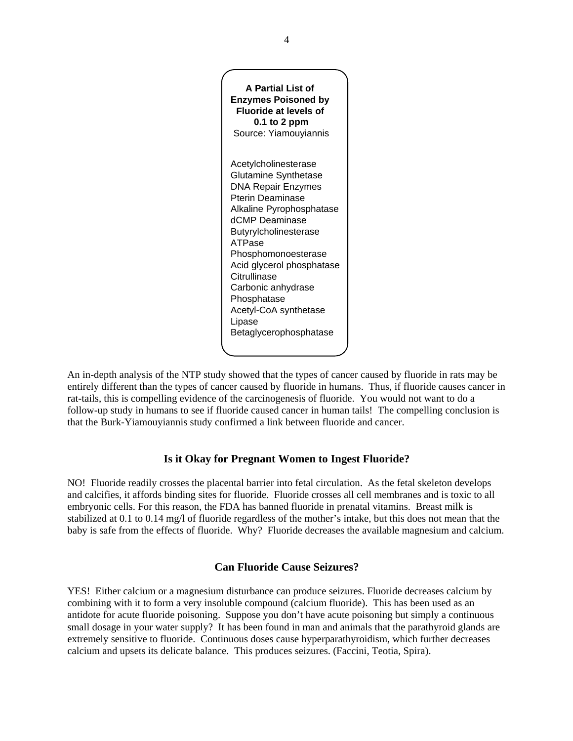

An in-depth analysis of the NTP study showed that the types of cancer caused by fluoride in rats may be entirely different than the types of cancer caused by fluoride in humans. Thus, if fluoride causes cancer in rat-tails, this is compelling evidence of the carcinogenesis of fluoride. You would not want to do a follow-up study in humans to see if fluoride caused cancer in human tails! The compelling conclusion is that the Burk-Yiamouyiannis study confirmed a link between fluoride and cancer.

# **Is it Okay for Pregnant Women to Ingest Fluoride?**

NO! Fluoride readily crosses the placental barrier into fetal circulation. As the fetal skeleton develops and calcifies, it affords binding sites for fluoride. Fluoride crosses all cell membranes and is toxic to all embryonic cells. For this reason, the FDA has banned fluoride in prenatal vitamins. Breast milk is stabilized at 0.1 to 0.14 mg/l of fluoride regardless of the mother's intake, but this does not mean that the baby is safe from the effects of fluoride. Why? Fluoride decreases the available magnesium and calcium.

## **Can Fluoride Cause Seizures?**

YES! Either calcium or a magnesium disturbance can produce seizures. Fluoride decreases calcium by combining with it to form a very insoluble compound (calcium fluoride). This has been used as an antidote for acute fluoride poisoning. Suppose you don't have acute poisoning but simply a continuous small dosage in your water supply? It has been found in man and animals that the parathyroid glands are extremely sensitive to fluoride. Continuous doses cause hyperparathyroidism, which further decreases calcium and upsets its delicate balance. This produces seizures. (Faccini, Teotia, Spira).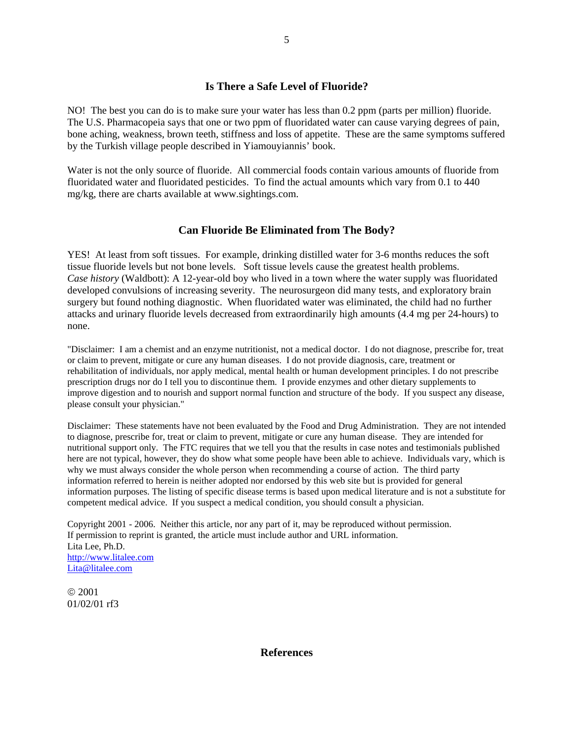## **Is There a Safe Level of Fluoride?**

NO! The best you can do is to make sure your water has less than 0.2 ppm (parts per million) fluoride. The U.S. Pharmacopeia says that one or two ppm of fluoridated water can cause varying degrees of pain, bone aching, weakness, brown teeth, stiffness and loss of appetite. These are the same symptoms suffered by the Turkish village people described in Yiamouyiannis' book.

Water is not the only source of fluoride. All commercial foods contain various amounts of fluoride from fluoridated water and fluoridated pesticides. To find the actual amounts which vary from 0.1 to 440 mg/kg, there are charts available at www.sightings.com.

#### **Can Fluoride Be Eliminated from The Body?**

YES! At least from soft tissues. For example, drinking distilled water for 3-6 months reduces the soft tissue fluoride levels but not bone levels. Soft tissue levels cause the greatest health problems. *Case history* (Waldbott): A 12-year-old boy who lived in a town where the water supply was fluoridated developed convulsions of increasing severity. The neurosurgeon did many tests, and exploratory brain surgery but found nothing diagnostic. When fluoridated water was eliminated, the child had no further attacks and urinary fluoride levels decreased from extraordinarily high amounts (4.4 mg per 24-hours) to none.

"Disclaimer: I am a chemist and an enzyme nutritionist, not a medical doctor. I do not diagnose, prescribe for, treat or claim to prevent, mitigate or cure any human diseases. I do not provide diagnosis, care, treatment or rehabilitation of individuals, nor apply medical, mental health or human development principles. I do not prescribe prescription drugs nor do I tell you to discontinue them. I provide enzymes and other dietary supplements to improve digestion and to nourish and support normal function and structure of the body. If you suspect any disease, please consult your physician."

Disclaimer: These statements have not been evaluated by the Food and Drug Administration. They are not intended to diagnose, prescribe for, treat or claim to prevent, mitigate or cure any human disease. They are intended for nutritional support only. The FTC requires that we tell you that the results in case notes and testimonials published here are not typical, however, they do show what some people have been able to achieve. Individuals vary, which is why we must always consider the whole person when recommending a course of action. The third party information referred to herein is neither adopted nor endorsed by this web site but is provided for general information purposes. The listing of specific disease terms is based upon medical literature and is not a substitute for competent medical advice. If you suspect a medical condition, you should consult a physician.

Copyright 2001 - 2006. Neither this article, nor any part of it, may be reproduced without permission. If permission to reprint is granted, the article must include author and URL information. Lita Lee, Ph.D. [http://www.litalee.com](http://www.litalee.com/) [Lita@litalee.com](mailto:Lita@litalee.com)

© 2001 01/02/01 rf3

**References**